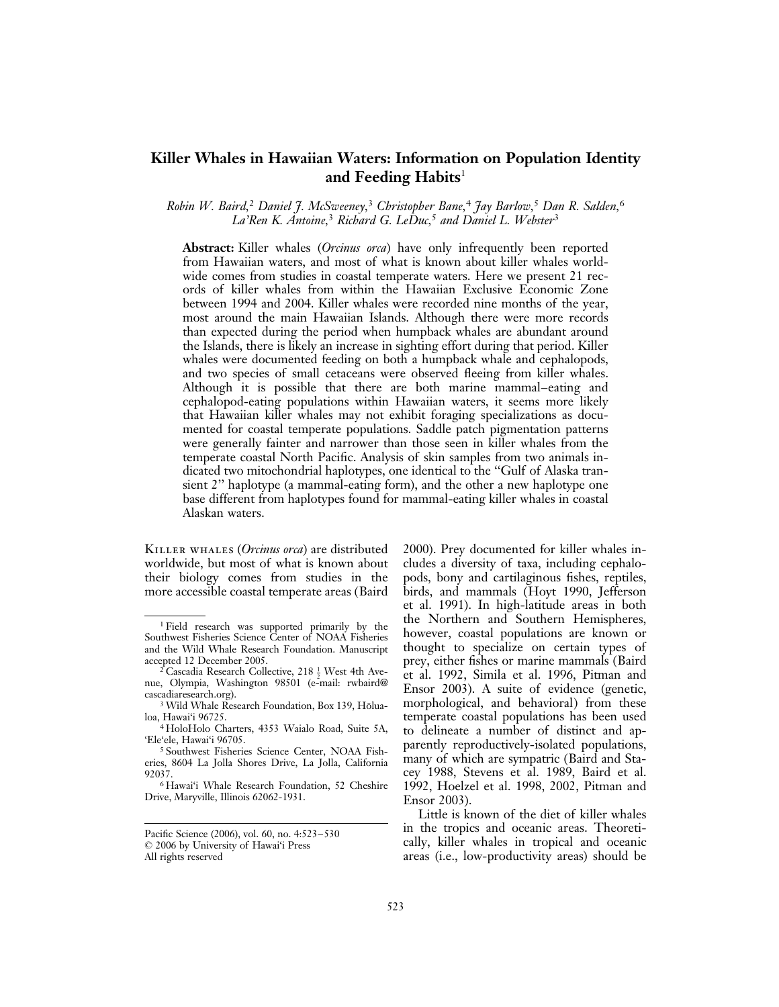# Killer Whales in Hawaiian Waters: Information on Population Identity and Feeding Habits $^1$

Robin W. Baird,<sup>2</sup> Daniel J. McSweeney,<sup>3</sup> Christopher Bane,<sup>4</sup> Jay Barlow,<sup>5</sup> Dan R. Salden,<sup>6</sup> La'Ren K. Antoine,<sup>3</sup> Richard G. LeDuc,<sup>5</sup> and Daniel L. Webster<sup>3</sup>

Abstract: Killer whales *(Orcinus orca)* have only infrequently been reported from Hawaiian waters, and most of what is known about killer whales worldwide comes from studies in coastal temperate waters. Here we present 21 records of killer whales from within the Hawaiian Exclusive Economic Zone between 1994 and 2004. Killer whales were recorded nine months of the year, most around the main Hawaiian Islands. Although there were more records than expected during the period when humpback whales are abundant around the Islands, there is likely an increase in sighting effort during that period. Killer whales were documented feeding on both a humpback whale and cephalopods, and two species of small cetaceans were observed fleeing from killer whales. Although it is possible that there are both marine mammal–eating and cephalopod-eating populations within Hawaiian waters, it seems more likely that Hawaiian killer whales may not exhibit foraging specializations as documented for coastal temperate populations. Saddle patch pigmentation patterns were generally fainter and narrower than those seen in killer whales from the temperate coastal North Pacific. Analysis of skin samples from two animals indicated two mitochondrial haplotypes, one identical to the ''Gulf of Alaska transient 2'' haplotype (a mammal-eating form), and the other a new haplotype one base different from haplotypes found for mammal-eating killer whales in coastal Alaskan waters.

KILLER WHALES (*Orcinus orca*) are distributed worldwide, but most of what is known about their biology comes from studies in the more accessible coastal temperate areas (Baird

2000). Prey documented for killer whales includes a diversity of taxa, including cephalopods, bony and cartilaginous fishes, reptiles, birds, and mammals (Hoyt 1990, Jefferson et al. 1991). In high-latitude areas in both the Northern and Southern Hemispheres, however, coastal populations are known or thought to specialize on certain types of prey, either fishes or marine mammals (Baird et al. 1992, Simila et al. 1996, Pitman and Ensor 2003). A suite of evidence (genetic, morphological, and behavioral) from these temperate coastal populations has been used to delineate a number of distinct and apparently reproductively-isolated populations, many of which are sympatric (Baird and Stacey 1988, Stevens et al. 1989, Baird et al. 1992, Hoelzel et al. 1998, 2002, Pitman and Ensor 2003).

Little is known of the diet of killer whales in the tropics and oceanic areas. Theoretically, killer whales in tropical and oceanic areas (i.e., low-productivity areas) should be

<sup>1</sup> Field research was supported primarily by the Southwest Fisheries Science Center of NOAA Fisheries and the Wild Whale Research Foundation. Manuscript accepted 12 December 2005.

<sup>&</sup>lt;sup>2</sup> Cascadia Research Collective, 218  $\frac{1}{2}$  West 4th Avenue, Olympia, Washington 98501 (e-mail: rwbaird@ cascadiaresearch.org).

<sup>&</sup>lt;sup>3</sup> Wild Whale Research Foundation, Box 139, Hōlualoa, Hawai'i 96725.

<sup>4</sup> HoloHolo Charters, 4353 Waialo Road, Suite 5A, 'Ele'ele, Hawai'i 96705.

<sup>5</sup> Southwest Fisheries Science Center, NOAA Fisheries, 8604 La Jolla Shores Drive, La Jolla, California 92037.

<sup>6</sup> Hawai'i Whale Research Foundation, 52 Cheshire Drive, Maryville, Illinois 62062-1931.

Pacific Science (2006), vol. 60, no. 4:523–530 : 2006 by University of Hawai'i Press All rights reserved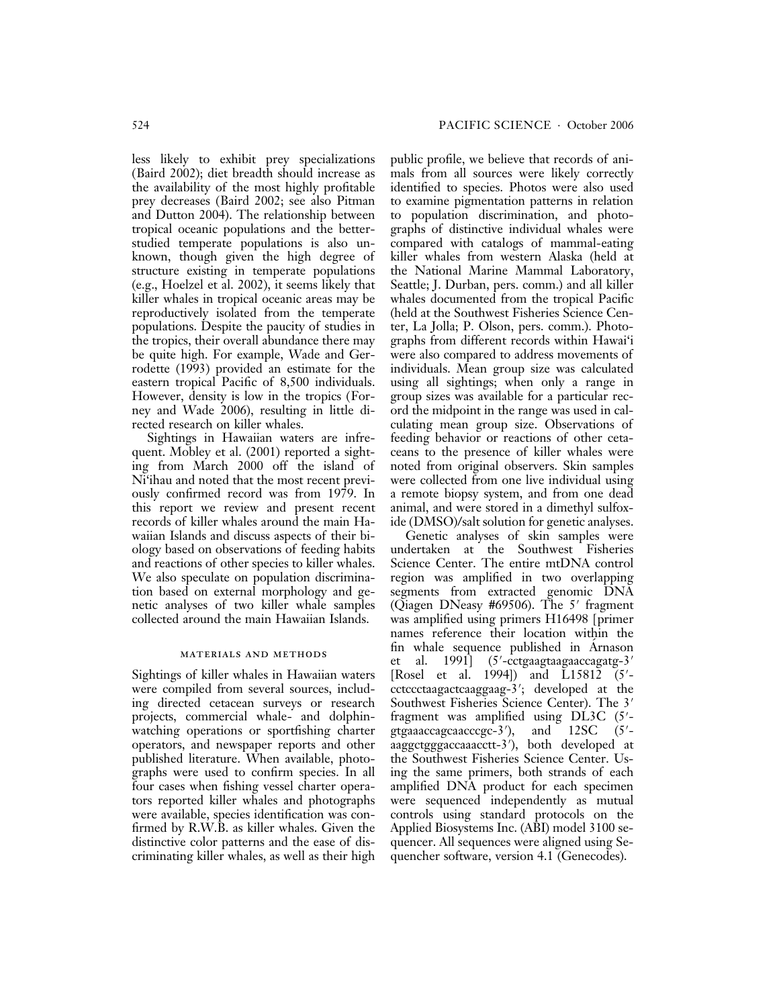less likely to exhibit prey specializations (Baird 2002); diet breadth should increase as the availability of the most highly profitable prey decreases (Baird 2002; see also Pitman and Dutton 2004). The relationship between tropical oceanic populations and the betterstudied temperate populations is also unknown, though given the high degree of structure existing in temperate populations (e.g., Hoelzel et al. 2002), it seems likely that killer whales in tropical oceanic areas may be reproductively isolated from the temperate populations. Despite the paucity of studies in the tropics, their overall abundance there may be quite high. For example, Wade and Gerrodette (1993) provided an estimate for the eastern tropical Pacific of 8,500 individuals. However, density is low in the tropics (Forney and Wade 2006), resulting in little directed research on killer whales.

Sightings in Hawaiian waters are infrequent. Mobley et al. (2001) reported a sighting from March 2000 off the island of Ni'ihau and noted that the most recent previously confirmed record was from 1979. In this report we review and present recent records of killer whales around the main Hawaiian Islands and discuss aspects of their biology based on observations of feeding habits and reactions of other species to killer whales. We also speculate on population discrimination based on external morphology and genetic analyses of two killer whale samples collected around the main Hawaiian Islands.

## materials and methods

Sightings of killer whales in Hawaiian waters were compiled from several sources, including directed cetacean surveys or research projects, commercial whale- and dolphinwatching operations or sportfishing charter operators, and newspaper reports and other published literature. When available, photographs were used to confirm species. In all four cases when fishing vessel charter operators reported killer whales and photographs were available, species identification was confirmed by R.W.B. as killer whales. Given the distinctive color patterns and the ease of discriminating killer whales, as well as their high

public profile, we believe that records of animals from all sources were likely correctly identified to species. Photos were also used to examine pigmentation patterns in relation to population discrimination, and photographs of distinctive individual whales were compared with catalogs of mammal-eating killer whales from western Alaska (held at the National Marine Mammal Laboratory, Seattle; J. Durban, pers. comm.) and all killer whales documented from the tropical Pacific (held at the Southwest Fisheries Science Center, La Jolla; P. Olson, pers. comm.). Photographs from different records within Hawai'i were also compared to address movements of individuals. Mean group size was calculated using all sightings; when only a range in group sizes was available for a particular record the midpoint in the range was used in calculating mean group size. Observations of feeding behavior or reactions of other cetaceans to the presence of killer whales were noted from original observers. Skin samples were collected from one live individual using a remote biopsy system, and from one dead animal, and were stored in a dimethyl sulfoxide (DMSO)/salt solution for genetic analyses.

Genetic analyses of skin samples were undertaken at the Southwest Fisheries Science Center. The entire mtDNA control region was amplified in two overlapping segments from extracted genomic DNA (Qiagen DNeasy #69506). The  $5'$  fragment was amplified using primers H16498 [primer names reference their location within the fin whale sequence published in Arnason al.  $1991$  $(5'-cctg$ aagtaagaaccagatg-3' [Rosel et al. 1994]) and  $L15812 (5'$ cctccctaagactcaaggaag-3'; developed at the Southwest Fisheries Science Center). The 3' fragment was amplified using  $DL3C$  (5'gtgaaaccagcaacccgc-3<sup>7</sup>), ), and 12SC (5'aaggctgggaccaaacctt-3'), both developed at the Southwest Fisheries Science Center. Using the same primers, both strands of each amplified DNA product for each specimen were sequenced independently as mutual controls using standard protocols on the Applied Biosystems Inc. (ABI) model 3100 sequencer. All sequences were aligned using Sequencher software, version 4.1 (Genecodes).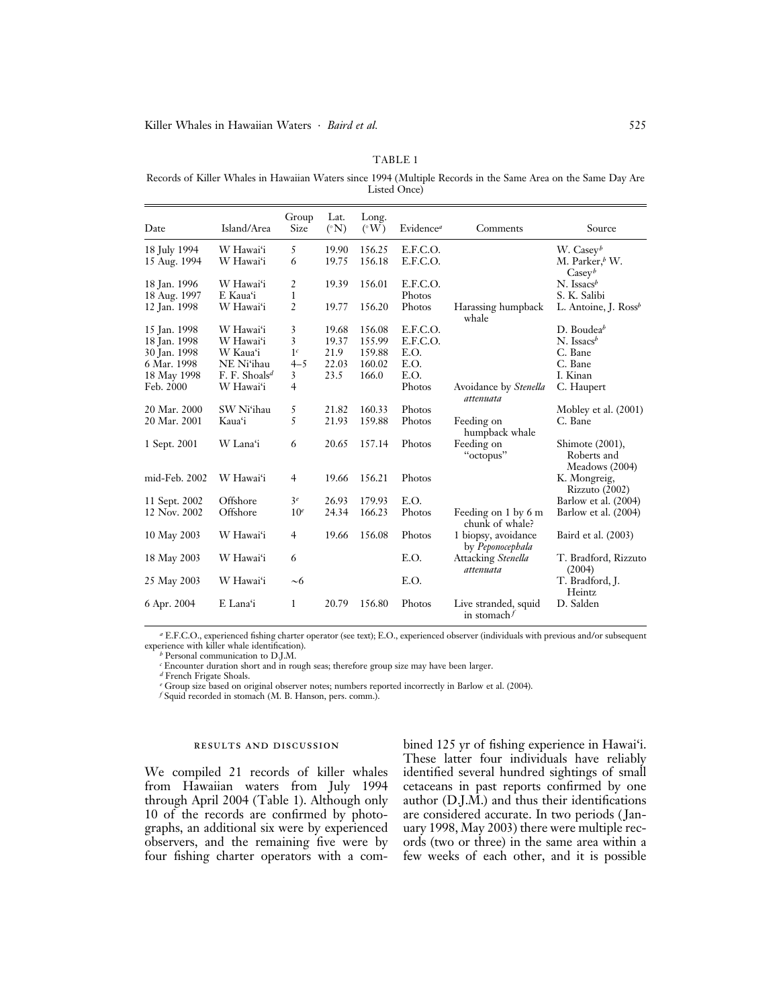### TABLE 1

Records of Killer Whales in Hawaiian Waters since 1994 (Multiple Records in the Same Area on the Same Day Are Listed Once)

| Date                         | Island/Area                            | Group<br>Size             | Lat.<br>$({}^{\circ}{\rm N})$ | Long.<br>$({}^{\circ}W)$ | Evidence <sup>a</sup> | Comments                                | Source                                                        |
|------------------------------|----------------------------------------|---------------------------|-------------------------------|--------------------------|-----------------------|-----------------------------------------|---------------------------------------------------------------|
| 18 July 1994<br>15 Aug. 1994 | W Hawai'i<br>W Hawai'i                 | 5<br>6                    | 19.90<br>19.75                | 156.25<br>156.18         | E.F.C.O.<br>E.F.C.O.  |                                         | W. $\text{CaseV}^b$<br>M. Parker, $^b$ W.<br>$\text{CaseV}^b$ |
| 18 Jan. 1996<br>18 Aug. 1997 | W Hawai'i<br>E Kaua'i                  | 2<br>1                    | 19.39                         | 156.01                   | E.F.C.O.<br>Photos    |                                         | $N.$ Issacs <sup>b</sup><br>S. K. Salibi                      |
| 12 Jan. 1998                 | W Hawai'i                              | 2                         | 19.77                         | 156.20                   | Photos                | Harassing humpback<br>whale             | L. Antoine, J. $\text{Ross}^b$                                |
| 15 Jan. 1998<br>18 Jan. 1998 | W Hawai'i<br>W Hawai'i                 | 3<br>3                    | 19.68<br>19.37                | 156.08<br>155.99         | E.F.C.O.<br>E.F.C.O.  |                                         | D. Boudea $\bar{b}$<br>$N.$ Issacs <sup>b</sup>               |
| 30 Jan. 1998<br>6 Mar. 1998  | W Kaua'i<br>NE Ni'ihau                 | 1 <sup>c</sup><br>$4 - 5$ | 21.9<br>22.03                 | 159.88<br>160.02         | E.O.<br>E.O.          |                                         | C. Bane<br>C. Bane                                            |
| 18 May 1998<br>Feb. 2000     | F. F. Shoals <sup>d</sup><br>W Hawai'i | 3<br>$\overline{4}$       | 23.5                          | 166.0                    | E.O.<br>Photos        | Avoidance by Stenella                   | I. Kinan<br>C. Haupert                                        |
| 20 Mar. 2000                 | SW Ni'ihau                             | 5                         | 21.82                         | 160.33                   | Photos                | attenuata                               | Mobley et al. (2001)                                          |
| 20 Mar. 2001                 | Kaua'i                                 | 5                         | 21.93                         | 159.88                   | Photos                | Feeding on<br>humpback whale            | C. Bane                                                       |
| 1 Sept. 2001                 | W Lana'i                               | 6                         | 20.65                         | 157.14                   | Photos                | Feeding on<br>"octopus"                 | Shimote (2001),<br>Roberts and<br>Meadows (2004)              |
| mid-Feb. 2002                | W Hawai'i                              | $\overline{4}$            | 19.66                         | 156.21                   | Photos                |                                         | K. Mongreig,<br>Rizzuto (2002)                                |
| 11 Sept. 2002                | Offshore                               | 3 <sup>e</sup>            | 26.93                         | 179.93                   | E.O.                  |                                         | Barlow et al. (2004)                                          |
| 12 Nov. 2002                 | Offshore                               | 10 <sup>e</sup>           | 24.34                         | 166.23                   | Photos                | Feeding on 1 by 6 m<br>chunk of whale?  | Barlow et al. (2004)                                          |
| 10 May 2003                  | W Hawai'i                              | $\overline{4}$            | 19.66                         | 156.08                   | Photos                | 1 biopsy, avoidance<br>by Peponocephala | Baird et al. (2003)                                           |
| 18 May 2003                  | W Hawai'i                              | 6                         |                               |                          | E.O.                  | Attacking Stenella<br>attenuata         | T. Bradford, Rizzuto<br>(2004)                                |
| 25 May 2003                  | W Hawai'i                              | ~1                        |                               |                          | E.O.                  |                                         | T. Bradford, J.<br>Heintz                                     |
| 6 Apr. 2004                  | E Lana'i                               | 1                         | 20.79                         | 156.80                   | Photos                | Live stranded, squid<br>in stomach $f$  | D. Salden                                                     |

<sup>a</sup> E.F.C.O., experienced fishing charter operator (see text); E.O., experienced observer (individuals with previous and/or subsequent experience with killer whale identification).

 $b$  Personal communication to D.J.M.

<sup>c</sup> Encounter duration short and in rough seas; therefore group size may have been larger.

 $\real^d$  French Frigate Shoals.

<sup>e</sup> Group size based on original observer notes; numbers reported incorrectly in Barlow et al. (2004).

 $f$  Squid recorded in stomach (M. B. Hanson, pers. comm.).

#### results and discussion

We compiled 21 records of killer whales from Hawaiian waters from July 1994 through April 2004 (Table 1). Although only 10 of the records are confirmed by photographs, an additional six were by experienced observers, and the remaining five were by four fishing charter operators with a combined 125 yr of fishing experience in Hawai'i. These latter four individuals have reliably identified several hundred sightings of small cetaceans in past reports confirmed by one author (D.J.M.) and thus their identifications are considered accurate. In two periods ( January 1998, May 2003) there were multiple records (two or three) in the same area within a few weeks of each other, and it is possible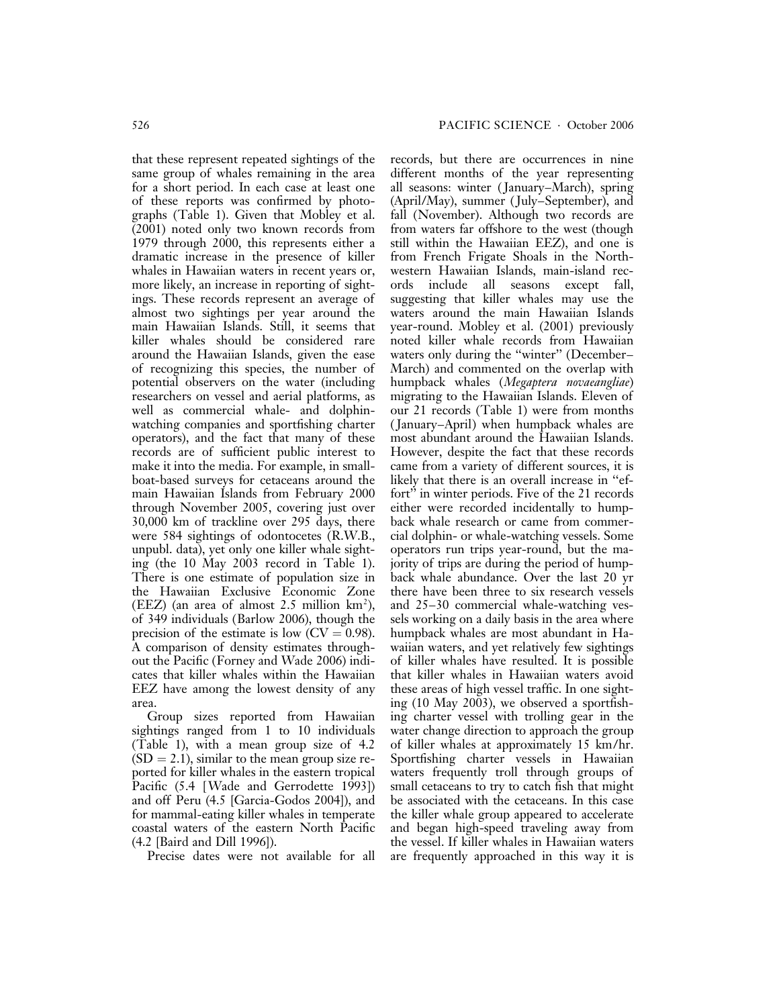that these represent repeated sightings of the same group of whales remaining in the area for a short period. In each case at least one of these reports was confirmed by photographs (Table 1). Given that Mobley et al. (2001) noted only two known records from 1979 through 2000, this represents either a dramatic increase in the presence of killer whales in Hawaiian waters in recent years or, more likely, an increase in reporting of sightings. These records represent an average of almost two sightings per year around the main Hawaiian Islands. Still, it seems that killer whales should be considered rare around the Hawaiian Islands, given the ease of recognizing this species, the number of potential observers on the water (including researchers on vessel and aerial platforms, as well as commercial whale- and dolphinwatching companies and sportfishing charter operators), and the fact that many of these records are of sufficient public interest to make it into the media. For example, in smallboat-based surveys for cetaceans around the main Hawaiian Islands from February 2000 through November 2005, covering just over 30,000 km of trackline over 295 days, there were 584 sightings of odontocetes (R.W.B., unpubl. data), yet only one killer whale sighting (the 10 May 2003 record in Table 1). There is one estimate of population size in the Hawaiian Exclusive Economic Zone  $(EEZ)$  (an area of almost 2.5 million  $km^2$ ), of 349 individuals (Barlow 2006), though the precision of the estimate is low  $(CV = 0.98)$ . A comparison of density estimates throughout the Pacific (Forney and Wade 2006) indicates that killer whales within the Hawaiian EEZ have among the lowest density of any area.

Group sizes reported from Hawaiian sightings ranged from 1 to 10 individuals (Table 1), with a mean group size of 4.2  $(SD = 2.1)$ , similar to the mean group size reported for killer whales in the eastern tropical Pacific (5.4 [ Wade and Gerrodette 1993]) and off Peru (4.5 [Garcia-Godos 2004]), and for mammal-eating killer whales in temperate coastal waters of the eastern North Pacific (4.2 [Baird and Dill 1996]).

Precise dates were not available for all

records, but there are occurrences in nine different months of the year representing all seasons: winter ( January–March), spring (April/May), summer ( July–September), and fall (November). Although two records are from waters far offshore to the west (though still within the Hawaiian EEZ), and one is from French Frigate Shoals in the Northwestern Hawaiian Islands, main-island records include all seasons except fall, suggesting that killer whales may use the waters around the main Hawaiian Islands year-round. Mobley et al. (2001) previously noted killer whale records from Hawaiian waters only during the "winter" (December– March) and commented on the overlap with humpback whales (Megaptera novaeangliae) migrating to the Hawaiian Islands. Eleven of our 21 records (Table 1) were from months ( January–April) when humpback whales are most abundant around the Hawaiian Islands. However, despite the fact that these records came from a variety of different sources, it is likely that there is an overall increase in ''effort'' in winter periods. Five of the 21 records either were recorded incidentally to humpback whale research or came from commercial dolphin- or whale-watching vessels. Some operators run trips year-round, but the majority of trips are during the period of humpback whale abundance. Over the last 20 yr there have been three to six research vessels and 25–30 commercial whale-watching vessels working on a daily basis in the area where humpback whales are most abundant in Hawaiian waters, and yet relatively few sightings of killer whales have resulted. It is possible that killer whales in Hawaiian waters avoid these areas of high vessel traffic. In one sighting (10 May 2003), we observed a sportfishing charter vessel with trolling gear in the water change direction to approach the group of killer whales at approximately 15 km/hr. Sportfishing charter vessels in Hawaiian waters frequently troll through groups of small cetaceans to try to catch fish that might be associated with the cetaceans. In this case the killer whale group appeared to accelerate and began high-speed traveling away from the vessel. If killer whales in Hawaiian waters are frequently approached in this way it is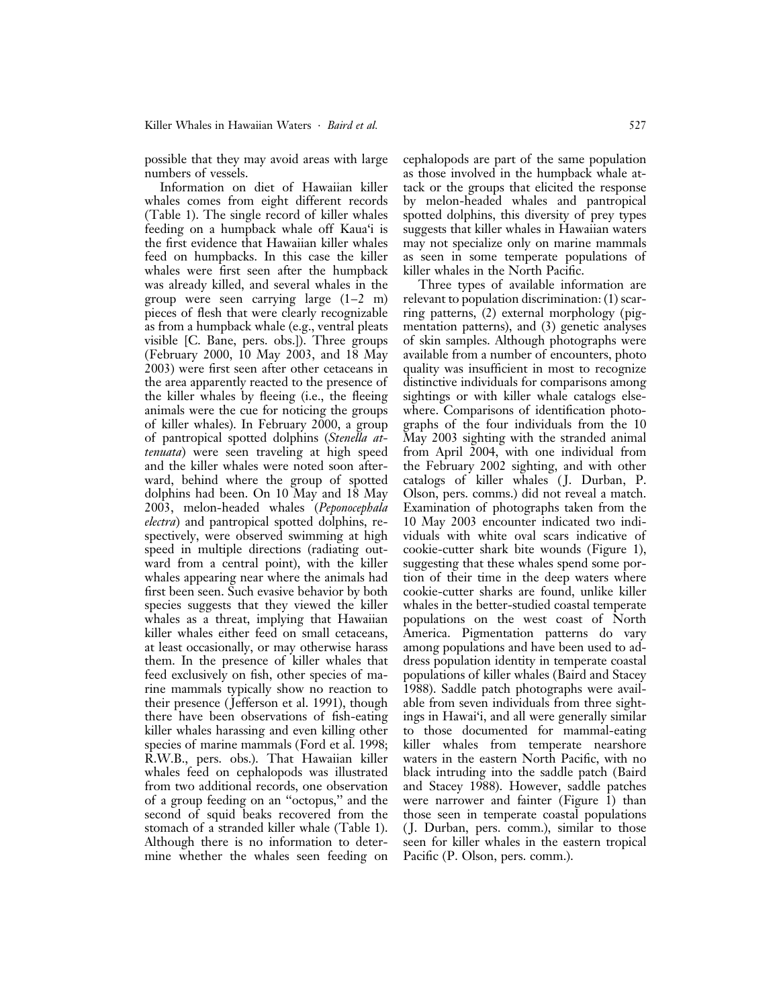possible that they may avoid areas with large numbers of vessels.

Information on diet of Hawaiian killer whales comes from eight different records (Table 1). The single record of killer whales feeding on a humpback whale off Kaua'i is the first evidence that Hawaiian killer whales feed on humpbacks. In this case the killer whales were first seen after the humpback was already killed, and several whales in the group were seen carrying large (1–2 m) pieces of flesh that were clearly recognizable as from a humpback whale (e.g., ventral pleats visible [C. Bane, pers. obs.]). Three groups (February 2000, 10 May 2003, and 18 May 2003) were first seen after other cetaceans in the area apparently reacted to the presence of the killer whales by fleeing (i.e., the fleeing animals were the cue for noticing the groups of killer whales). In February 2000, a group of pantropical spotted dolphins (Stenella attenuata) were seen traveling at high speed and the killer whales were noted soon afterward, behind where the group of spotted dolphins had been. On 10 May and 18 May 2003, melon-headed whales (Peponocephala electra) and pantropical spotted dolphins, respectively, were observed swimming at high speed in multiple directions (radiating outward from a central point), with the killer whales appearing near where the animals had first been seen. Such evasive behavior by both species suggests that they viewed the killer whales as a threat, implying that Hawaiian killer whales either feed on small cetaceans, at least occasionally, or may otherwise harass them. In the presence of killer whales that feed exclusively on fish, other species of marine mammals typically show no reaction to their presence ( Jefferson et al. 1991), though there have been observations of fish-eating killer whales harassing and even killing other species of marine mammals (Ford et al. 1998; R.W.B., pers. obs.). That Hawaiian killer whales feed on cephalopods was illustrated from two additional records, one observation of a group feeding on an ''octopus,'' and the second of squid beaks recovered from the stomach of a stranded killer whale (Table 1). Although there is no information to determine whether the whales seen feeding on cephalopods are part of the same population as those involved in the humpback whale attack or the groups that elicited the response by melon-headed whales and pantropical spotted dolphins, this diversity of prey types suggests that killer whales in Hawaiian waters may not specialize only on marine mammals as seen in some temperate populations of killer whales in the North Pacific.

Three types of available information are relevant to population discrimination: (1) scarring patterns, (2) external morphology (pigmentation patterns), and (3) genetic analyses of skin samples. Although photographs were available from a number of encounters, photo quality was insufficient in most to recognize distinctive individuals for comparisons among sightings or with killer whale catalogs elsewhere. Comparisons of identification photographs of the four individuals from the 10 May 2003 sighting with the stranded animal from April 2004, with one individual from the February 2002 sighting, and with other catalogs of killer whales ( J. Durban, P. Olson, pers. comms.) did not reveal a match. Examination of photographs taken from the 10 May 2003 encounter indicated two individuals with white oval scars indicative of cookie-cutter shark bite wounds (Figure 1), suggesting that these whales spend some portion of their time in the deep waters where cookie-cutter sharks are found, unlike killer whales in the better-studied coastal temperate populations on the west coast of North America. Pigmentation patterns do vary among populations and have been used to address population identity in temperate coastal populations of killer whales (Baird and Stacey 1988). Saddle patch photographs were available from seven individuals from three sightings in Hawai'i, and all were generally similar to those documented for mammal-eating killer whales from temperate nearshore waters in the eastern North Pacific, with no black intruding into the saddle patch (Baird and Stacey 1988). However, saddle patches were narrower and fainter (Figure 1) than those seen in temperate coastal populations ( J. Durban, pers. comm.), similar to those seen for killer whales in the eastern tropical Pacific (P. Olson, pers. comm.).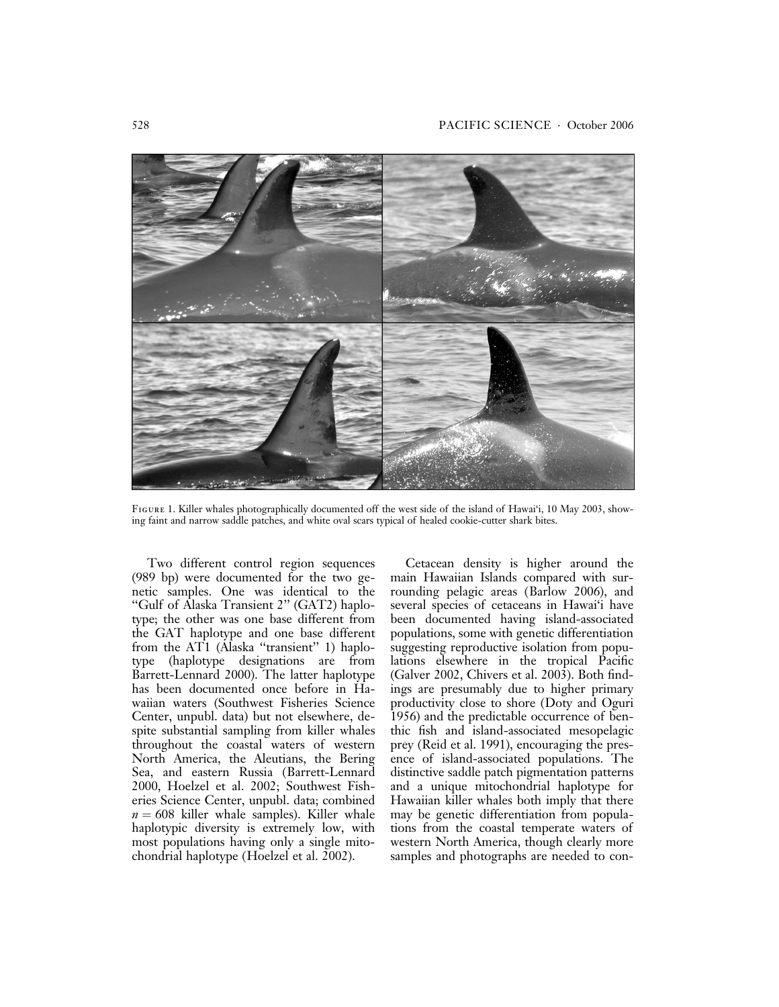

FIGURE 1. Killer whales photographically documented off the west side of the island of Hawai'i, 10 May 2003, showing faint and narrow saddle patches, and white oval scars typical of healed cookie-cutter shark bites.

Two different control region sequences (989 bp) were documented for the two genetic samples. One was identical to the ''Gulf of Alaska Transient 2'' (GAT2) haplotype; the other was one base different from the GAT haplotype and one base different from the AT1 (Alaska "transient" 1) haplotype (haplotype designations are from Barrett-Lennard 2000). The latter haplotype has been documented once before in Hawaiian waters (Southwest Fisheries Science Center, unpubl. data) but not elsewhere, despite substantial sampling from killer whales throughout the coastal waters of western North America, the Aleutians, the Bering Sea, and eastern Russia (Barrett-Lennard 2000, Hoelzel et al. 2002; Southwest Fisheries Science Center, unpubl. data; combined  $n = 608$  killer whale samples). Killer whale haplotypic diversity is extremely low, with most populations having only a single mitochondrial haplotype (Hoelzel et al. 2002).

Cetacean density is higher around the main Hawaiian Islands compared with surrounding pelagic areas (Barlow 2006), and several species of cetaceans in Hawai'i have been documented having island-associated populations, some with genetic differentiation suggesting reproductive isolation from populations elsewhere in the tropical Pacific (Galver 2002, Chivers et al. 2003). Both findings are presumably due to higher primary productivity close to shore (Doty and Oguri 1956) and the predictable occurrence of benthic fish and island-associated mesopelagic prey (Reid et al. 1991), encouraging the presence of island-associated populations. The distinctive saddle patch pigmentation patterns and a unique mitochondrial haplotype for Hawaiian killer whales both imply that there may be genetic differentiation from populations from the coastal temperate waters of western North America, though clearly more samples and photographs are needed to con-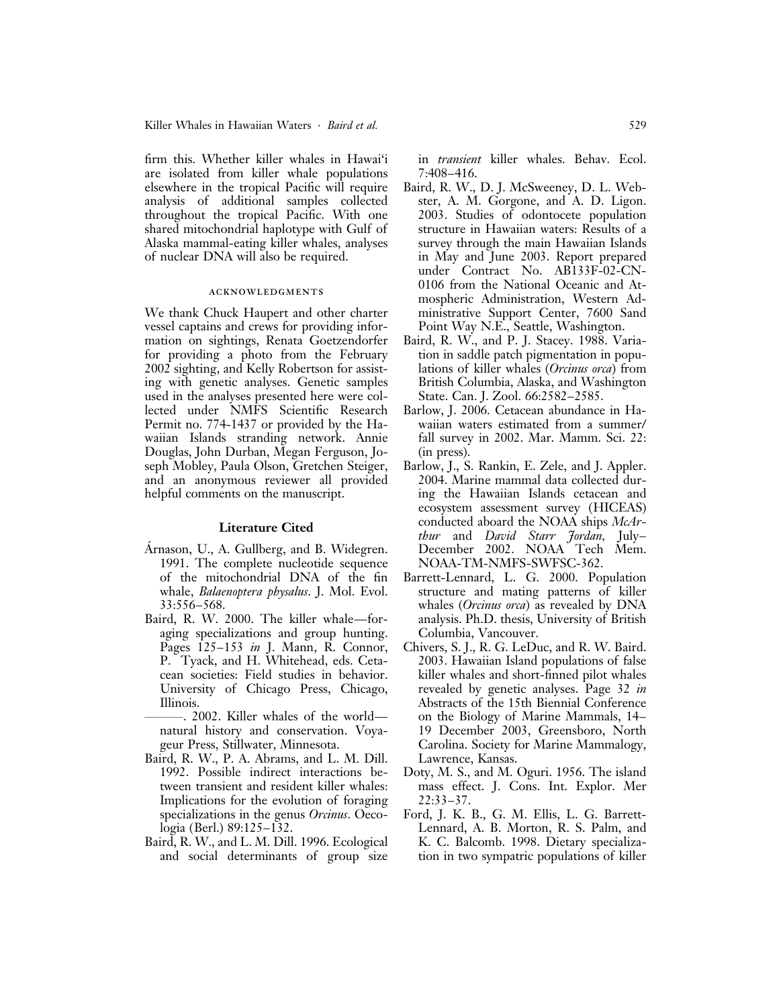firm this. Whether killer whales in Hawai'i are isolated from killer whale populations elsewhere in the tropical Pacific will require analysis of additional samples collected throughout the tropical Pacific. With one shared mitochondrial haplotype with Gulf of Alaska mammal-eating killer whales, analyses of nuclear DNA will also be required.

# acknowledgments

We thank Chuck Haupert and other charter vessel captains and crews for providing information on sightings, Renata Goetzendorfer for providing a photo from the February 2002 sighting, and Kelly Robertson for assisting with genetic analyses. Genetic samples used in the analyses presented here were collected under NMFS Scientific Research Permit no. 774-1437 or provided by the Hawaiian Islands stranding network. Annie Douglas, John Durban, Megan Ferguson, Joseph Mobley, Paula Olson, Gretchen Steiger, and an anonymous reviewer all provided helpful comments on the manuscript.

# Literature Cited

- Arnason, U., A. Gullberg, and B. Widegren. 1991. The complete nucleotide sequence of the mitochondrial DNA of the fin whale, *Balaenoptera physalus*. J. Mol. Evol. 33:556–568.
- Baird, R. W. 2000. The killer whale—foraging specializations and group hunting. Pages 125–153 in J. Mann, R. Connor, P. Tyack, and H. Whitehead, eds. Cetacean societies: Field studies in behavior. University of Chicago Press, Chicago, Illinois.

-. 2002. Killer whales of the world natural history and conservation. Voyageur Press, Stillwater, Minnesota.

- Baird, R. W., P. A. Abrams, and L. M. Dill. 1992. Possible indirect interactions between transient and resident killer whales: Implications for the evolution of foraging specializations in the genus *Orcinus*. Oecologia (Berl.) 89:125–132.
- Baird, R. W., and L. M. Dill. 1996. Ecological and social determinants of group size

in transient killer whales. Behav. Ecol. 7:408–416.

- Baird, R. W., D. J. McSweeney, D. L. Webster, A. M. Gorgone, and A. D. Ligon. 2003. Studies of odontocete population structure in Hawaiian waters: Results of a survey through the main Hawaiian Islands in May and June 2003. Report prepared under Contract No. AB133F-02-CN-0106 from the National Oceanic and Atmospheric Administration, Western Administrative Support Center, 7600 Sand Point Way N.E., Seattle, Washington.
- Baird, R. W., and P. J. Stacey. 1988. Variation in saddle patch pigmentation in populations of killer whales (Orcinus orca) from British Columbia, Alaska, and Washington State. Can. J. Zool. 66:2582–2585.
- Barlow, J. 2006. Cetacean abundance in Hawaiian waters estimated from a summer/ fall survey in 2002. Mar. Mamm. Sci. 22: (in press).
- Barlow, J., S. Rankin, E. Zele, and J. Appler. 2004. Marine mammal data collected during the Hawaiian Islands cetacean and ecosystem assessment survey (HICEAS) conducted aboard the NOAA ships McArthur and David Starr Jordan, July– December 2002. NOAA Tech Mem. NOAA-TM-NMFS-SWFSC-362.
- Barrett-Lennard, L. G. 2000. Population structure and mating patterns of killer whales *(Orcinus orca)* as revealed by DNA analysis. Ph.D. thesis, University of British Columbia, Vancouver.
- Chivers, S. J., R. G. LeDuc, and R. W. Baird. 2003. Hawaiian Island populations of false killer whales and short-finned pilot whales revealed by genetic analyses. Page 32 in Abstracts of the 15th Biennial Conference on the Biology of Marine Mammals, 14– 19 December 2003, Greensboro, North Carolina. Society for Marine Mammalogy, Lawrence, Kansas.
- Doty, M. S., and M. Oguri. 1956. The island mass effect. J. Cons. Int. Explor. Mer 22:33–37.
- Ford, J. K. B., G. M. Ellis, L. G. Barrett-Lennard, A. B. Morton, R. S. Palm, and K. C. Balcomb. 1998. Dietary specialization in two sympatric populations of killer